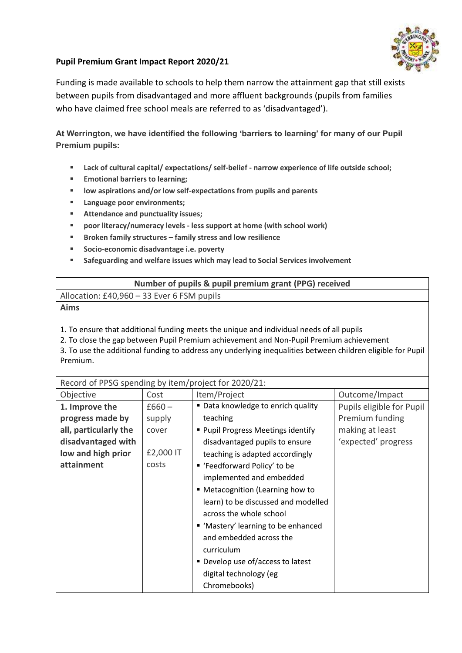

## **Pupil Premium Grant Impact Report 2020/21**

Funding is made available to schools to help them narrow the attainment gap that still exists between pupils from disadvantaged and more affluent backgrounds (pupils from families who have claimed free school meals are referred to as 'disadvantaged').

**At Werrington, we have identified the following 'barriers to learning' for many of our Pupil Premium pupils:**

- **Lack of cultural capital/ expectations/ self-belief - narrow experience of life outside school;**
- **Emotional barriers to learning;**
- **low aspirations and/or low self-expectations from pupils and parents**
- **Language poor environments;**
- **Attendance and punctuality issues;**
- **poor literacy/numeracy levels - less support at home (with school work)**
- **Broken family structures – family stress and low resilience**
- **Socio-economic disadvantage i.e. poverty**
- **Safeguarding and welfare issues which may lead to Social Services involvement**

| Number of pupils & pupil premium grant (PPG) received |  |  |  |
|-------------------------------------------------------|--|--|--|
| Allocation: £40,960 - 33 Ever 6 FSM pupils            |  |  |  |
| Aims                                                  |  |  |  |

1. To ensure that additional funding meets the unique and individual needs of all pupils

2. To close the gap between Pupil Premium achievement and Non-Pupil Premium achievement

3. To use the additional funding to address any underlying inequalities between children eligible for Pupil Premium.

| Record of PPSG spending by item/project for 2020/21: |           |                                     |                           |  |
|------------------------------------------------------|-----------|-------------------------------------|---------------------------|--|
| Objective                                            | Cost      | Item/Project                        | Outcome/Impact            |  |
| 1. Improve the                                       | $£660 -$  | ■ Data knowledge to enrich quality  | Pupils eligible for Pupil |  |
| progress made by                                     | supply    | teaching                            | Premium funding           |  |
| all, particularly the                                | cover     | ■ Pupil Progress Meetings identify  | making at least           |  |
| disadvantaged with                                   |           | disadvantaged pupils to ensure      | 'expected' progress       |  |
| low and high prior                                   | £2,000 IT | teaching is adapted accordingly     |                           |  |
| attainment                                           | costs     | ■ 'Feedforward Policy' to be        |                           |  |
|                                                      |           | implemented and embedded            |                           |  |
|                                                      |           | " Metacognition (Learning how to    |                           |  |
|                                                      |           | learn) to be discussed and modelled |                           |  |
|                                                      |           | across the whole school             |                           |  |
|                                                      |           | " 'Mastery' learning to be enhanced |                           |  |
|                                                      |           | and embedded across the             |                           |  |
|                                                      |           | curriculum                          |                           |  |
|                                                      |           | ■ Develop use of/access to latest   |                           |  |
|                                                      |           | digital technology (eg              |                           |  |
|                                                      |           | Chromebooks)                        |                           |  |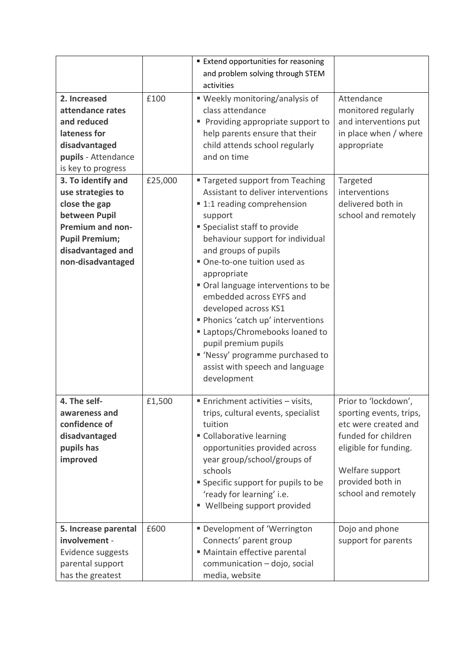| 2. Increased<br>attendance rates<br>and reduced<br>lateness for<br>disadvantaged<br>pupils - Attendance                                                                                       | £100    | <b>Extend opportunities for reasoning</b><br>and problem solving through STEM<br>activities<br>■ Weekly monitoring/analysis of<br>class attendance<br>Providing appropriate support to<br>Е<br>help parents ensure that their<br>child attends school regularly<br>and on time                                                                                                                                                                                                                                                         | Attendance<br>monitored regularly<br>and interventions put<br>in place when / where<br>appropriate                                                                                    |  |
|-----------------------------------------------------------------------------------------------------------------------------------------------------------------------------------------------|---------|----------------------------------------------------------------------------------------------------------------------------------------------------------------------------------------------------------------------------------------------------------------------------------------------------------------------------------------------------------------------------------------------------------------------------------------------------------------------------------------------------------------------------------------|---------------------------------------------------------------------------------------------------------------------------------------------------------------------------------------|--|
| is key to progress<br>3. To identify and<br>use strategies to<br>close the gap<br>between Pupil<br><b>Premium and non-</b><br><b>Pupil Premium;</b><br>disadvantaged and<br>non-disadvantaged | £25,000 | " Targeted support from Teaching<br>Assistant to deliver interventions<br>■ 1:1 reading comprehension<br>support<br>" Specialist staff to provide<br>behaviour support for individual<br>and groups of pupils<br>One-to-one tuition used as<br>appropriate<br>Oral language interventions to be<br>embedded across EYFS and<br>developed across KS1<br>Phonics 'catch up' interventions<br>Laptops/Chromebooks loaned to<br>pupil premium pupils<br>" 'Nessy' programme purchased to<br>assist with speech and language<br>development | Targeted<br>interventions<br>delivered both in<br>school and remotely                                                                                                                 |  |
| 4. The self-<br>awareness and<br>confidence of<br>disadvantaged<br>pupils has<br>improved                                                                                                     | £1,500  | ■ Enrichment activities – visits,<br>trips, cultural events, specialist<br>tuition<br>" Collaborative learning<br>opportunities provided across<br>year group/school/groups of<br>schools<br>" Specific support for pupils to be<br>'ready for learning' i.e.<br>" Wellbeing support provided                                                                                                                                                                                                                                          | Prior to 'lockdown',<br>sporting events, trips,<br>etc were created and<br>funded for children<br>eligible for funding.<br>Welfare support<br>provided both in<br>school and remotely |  |
| 5. Increase parental<br>involvement -<br>Evidence suggests<br>parental support<br>has the greatest                                                                                            | £600    | Development of 'Werrington<br>Connects' parent group<br>" Maintain effective parental<br>communication - dojo, social<br>media, website                                                                                                                                                                                                                                                                                                                                                                                                | Dojo and phone<br>support for parents                                                                                                                                                 |  |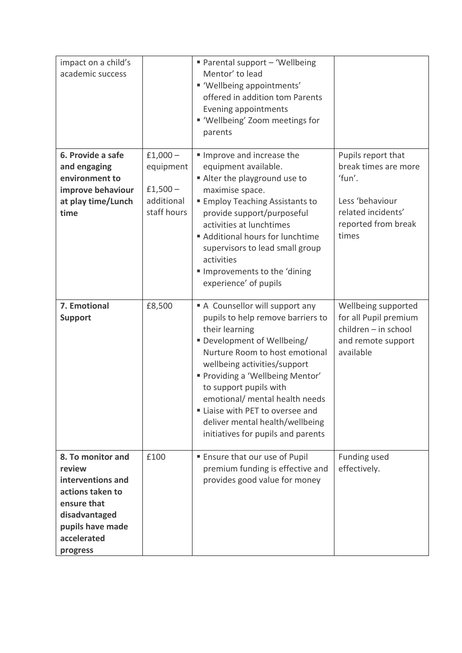| impact on a child's<br>academic success                                                                                                             |                                                                  | ■ Parental support - 'Wellbeing<br>Mentor' to lead<br>" 'Wellbeing appointments'<br>offered in addition tom Parents<br>Evening appointments<br>" 'Wellbeing' Zoom meetings for<br>parents                                                                                                                                                                                                      |                                                                                                                               |
|-----------------------------------------------------------------------------------------------------------------------------------------------------|------------------------------------------------------------------|------------------------------------------------------------------------------------------------------------------------------------------------------------------------------------------------------------------------------------------------------------------------------------------------------------------------------------------------------------------------------------------------|-------------------------------------------------------------------------------------------------------------------------------|
| 6. Provide a safe<br>and engaging<br>environment to<br>improve behaviour<br>at play time/Lunch<br>time                                              | $£1,000-$<br>equipment<br>$£1,500-$<br>additional<br>staff hours | Improve and increase the<br>equipment available.<br>Alter the playground use to<br>maximise space.<br><b>Employ Teaching Assistants to</b><br>provide support/purposeful<br>activities at lunchtimes<br>Additional hours for lunchtime<br>supervisors to lead small group<br>activities<br>Improvements to the 'dining<br>experience' of pupils                                                | Pupils report that<br>break times are more<br>'fun'.<br>Less 'behaviour<br>related incidents'<br>reported from break<br>times |
| 7. Emotional<br><b>Support</b>                                                                                                                      | £8,500                                                           | A Counsellor will support any<br>pupils to help remove barriers to<br>their learning<br>Development of Wellbeing/<br>Nurture Room to host emotional<br>wellbeing activities/support<br>" Providing a 'Wellbeing Mentor'<br>to support pupils with<br>emotional/ mental health needs<br>Liaise with PET to oversee and<br>deliver mental health/wellbeing<br>initiatives for pupils and parents | Wellbeing supported<br>for all Pupil premium<br>children - in school<br>and remote support<br>available                       |
| 8. To monitor and<br>review<br>interventions and<br>actions taken to<br>ensure that<br>disadvantaged<br>pupils have made<br>accelerated<br>progress | £100                                                             | <b>Ensure that our use of Pupil</b><br>premium funding is effective and<br>provides good value for money                                                                                                                                                                                                                                                                                       | Funding used<br>effectively.                                                                                                  |